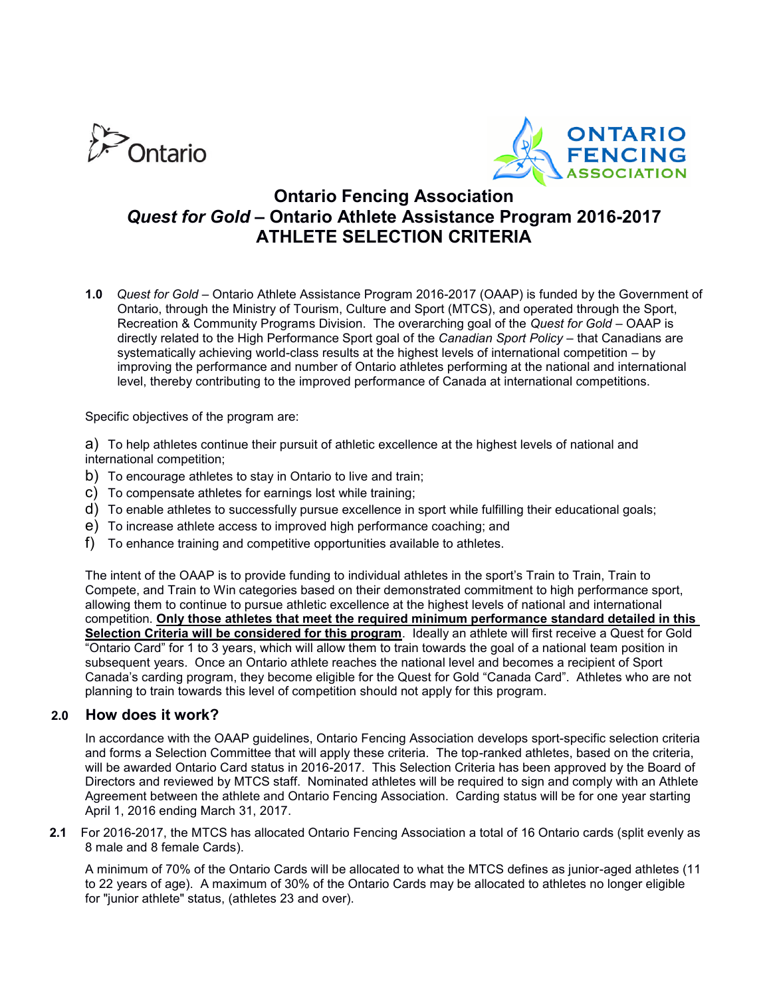



# **Ontario Fencing Association** *Quest for Gold* **– Ontario Athlete Assistance Program 2016-2017 ATHLETE SELECTION CRITERIA**

**1.0** *Quest for Gold* – Ontario Athlete Assistance Program 2016-2017 (OAAP) is funded by the Government of Ontario, through the Ministry of Tourism, Culture and Sport (MTCS), and operated through the Sport, Recreation & Community Programs Division. The overarching goal of the *Quest for Gold –* OAAP is directly related to the High Performance Sport goal of the *Canadian Sport Policy* – that Canadians are systematically achieving world-class results at the highest levels of international competition – by improving the performance and number of Ontario athletes performing at the national and international level, thereby contributing to the improved performance of Canada at international competitions.

Specific objectives of the program are:

a) To help athletes continue their pursuit of athletic excellence at the highest levels of national and international competition;

- b) To encourage athletes to stay in Ontario to live and train;
- c) To compensate athletes for earnings lost while training;
- d) To enable athletes to successfully pursue excellence in sport while fulfilling their educational goals;
- e) To increase athlete access to improved high performance coaching; and
- f) To enhance training and competitive opportunities available to athletes.

The intent of the OAAP is to provide funding to individual athletes in the sport's Train to Train, Train to Compete, and Train to Win categories based on their demonstrated commitment to high performance sport, allowing them to continue to pursue athletic excellence at the highest levels of national and international competition. **Only those athletes that meet the required minimum performance standard detailed in this Selection Criteria will be considered for this program**. Ideally an athlete will first receive a Quest for Gold "Ontario Card" for 1 to 3 years, which will allow them to train towards the goal of a national team position in subsequent years. Once an Ontario athlete reaches the national level and becomes a recipient of Sport Canada's carding program, they become eligible for the Quest for Gold "Canada Card". Athletes who are not planning to train towards this level of competition should not apply for this program.

### **2.0 How does it work?**

In accordance with the OAAP guidelines, Ontario Fencing Association develops sport-specific selection criteria and forms a Selection Committee that will apply these criteria. The top-ranked athletes, based on the criteria, will be awarded Ontario Card status in 2016-2017. This Selection Criteria has been approved by the Board of Directors and reviewed by MTCS staff. Nominated athletes will be required to sign and comply with an Athlete Agreement between the athlete and Ontario Fencing Association. Carding status will be for one year starting April 1, 2016 ending March 31, 2017.

**2.1** For 2016-2017, the MTCS has allocated Ontario Fencing Association a total of 16 Ontario cards (split evenly as 8 male and 8 female Cards).

A minimum of 70% of the Ontario Cards will be allocated to what the MTCS defines as junior-aged athletes (11 to 22 years of age). A maximum of 30% of the Ontario Cards may be allocated to athletes no longer eligible for "junior athlete" status, (athletes 23 and over).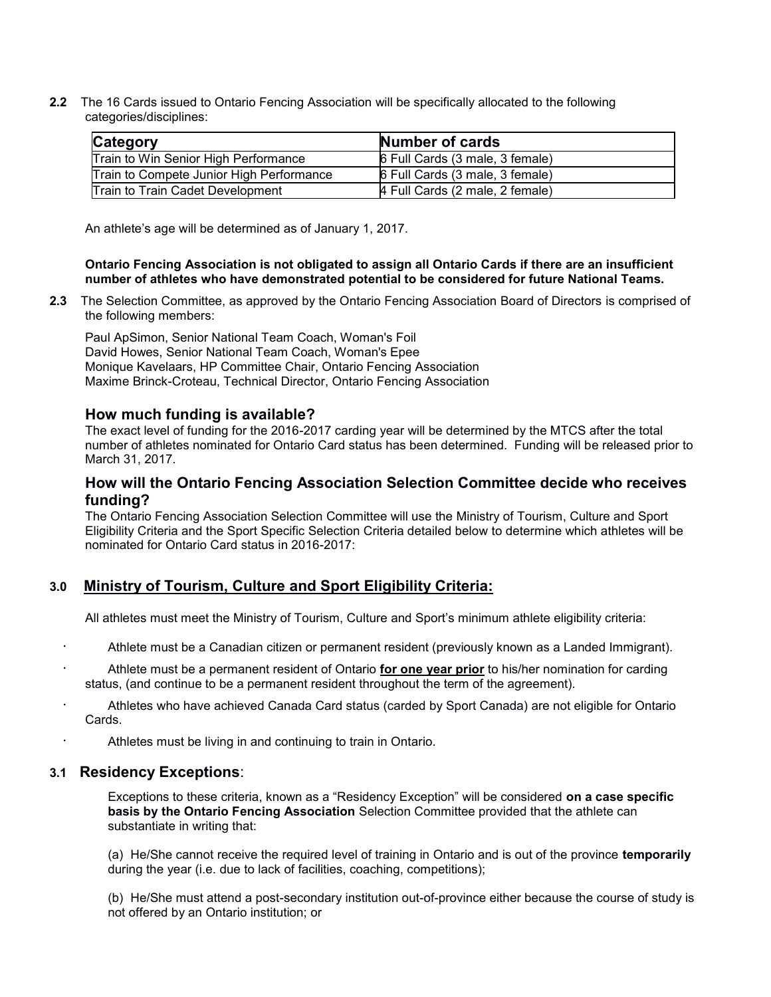**2.2** The 16 Cards issued to Ontario Fencing Association will be specifically allocated to the following categories/disciplines:

| Category                                 | <b>Number of cards</b>          |
|------------------------------------------|---------------------------------|
| Train to Win Senior High Performance     | 6 Full Cards (3 male, 3 female) |
| Train to Compete Junior High Performance | 6 Full Cards (3 male, 3 female) |
| <b>Train to Train Cadet Development</b>  | 4 Full Cards (2 male, 2 female) |

An athlete's age will be determined as of January 1, 2017.

#### **Ontario Fencing Association is not obligated to assign all Ontario Cards if there are an insufficient number of athletes who have demonstrated potential to be considered for future National Teams.**

**2.3** The Selection Committee, as approved by the Ontario Fencing Association Board of Directors is comprised of the following members:

Paul ApSimon, Senior National Team Coach, Woman's Foil David Howes, Senior National Team Coach, Woman's Epee Monique Kavelaars, HP Committee Chair, Ontario Fencing Association Maxime Brinck-Croteau, Technical Director, Ontario Fencing Association

### **How much funding is available?**

The exact level of funding for the 2016-2017 carding year will be determined by the MTCS after the total number of athletes nominated for Ontario Card status has been determined. Funding will be released prior to March 31, 2017.

## **How will the Ontario Fencing Association Selection Committee decide who receives funding?**

The Ontario Fencing Association Selection Committee will use the Ministry of Tourism, Culture and Sport Eligibility Criteria and the Sport Specific Selection Criteria detailed below to determine which athletes will be nominated for Ontario Card status in 2016-2017:

## **3.0 Ministry of Tourism, Culture and Sport Eligibility Criteria:**

All athletes must meet the Ministry of Tourism, Culture and Sport's minimum athlete eligibility criteria:

- · Athlete must be a Canadian citizen or permanent resident (previously known as a Landed Immigrant).
- Athlete must be a permanent resident of Ontario **for one year prior** to his/her nomination for carding status, (and continue to be a permanent resident throughout the term of the agreement).
- Athletes who have achieved Canada Card status (carded by Sport Canada) are not eligible for Ontario Cards.
- Athletes must be living in and continuing to train in Ontario.

### **3.1 Residency Exceptions**:

Exceptions to these criteria, known as a "Residency Exception" will be considered **on a case specific basis by the Ontario Fencing Association** Selection Committee provided that the athlete can substantiate in writing that:

(a) He/She cannot receive the required level of training in Ontario and is out of the province **temporarily** during the year (i.e. due to lack of facilities, coaching, competitions);

(b) He/She must attend a post-secondary institution out-of-province either because the course of study is not offered by an Ontario institution; or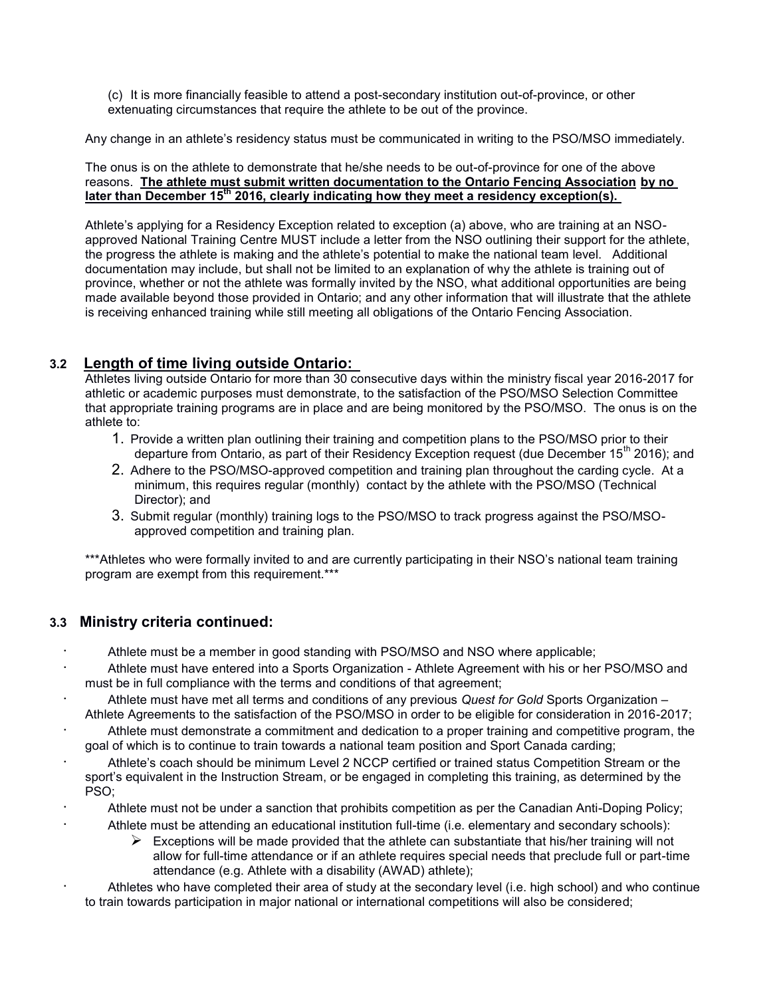(c) It is more financially feasible to attend a post-secondary institution out-of-province, or other extenuating circumstances that require the athlete to be out of the province.

Any change in an athlete's residency status must be communicated in writing to the PSO/MSO immediately.

The onus is on the athlete to demonstrate that he/she needs to be out-of-province for one of the above reasons. **The athlete must submit written documentation to the Ontario Fencing Association by no later than December 15th 2016, clearly indicating how they meet a residency exception(s).** 

Athlete's applying for a Residency Exception related to exception (a) above, who are training at an NSOapproved National Training Centre MUST include a letter from the NSO outlining their support for the athlete, the progress the athlete is making and the athlete's potential to make the national team level. Additional documentation may include, but shall not be limited to an explanation of why the athlete is training out of province, whether or not the athlete was formally invited by the NSO, what additional opportunities are being made available beyond those provided in Ontario; and any other information that will illustrate that the athlete is receiving enhanced training while still meeting all obligations of the Ontario Fencing Association.

# **3.2 Length of time living outside Ontario:**

Athletes living outside Ontario for more than 30 consecutive days within the ministry fiscal year 2016-2017 for athletic or academic purposes must demonstrate, to the satisfaction of the PSO/MSO Selection Committee that appropriate training programs are in place and are being monitored by the PSO/MSO. The onus is on the athlete to:

- 1. Provide a written plan outlining their training and competition plans to the PSO/MSO prior to their departure from Ontario, as part of their Residency Exception request (due December 15<sup>th</sup> 2016); and
- 2. Adhere to the PSO/MSO-approved competition and training plan throughout the carding cycle. At a minimum, this requires regular (monthly) contact by the athlete with the PSO/MSO (Technical Director); and
- 3. Submit regular (monthly) training logs to the PSO/MSO to track progress against the PSO/MSOapproved competition and training plan.

\*\*\*Athletes who were formally invited to and are currently participating in their NSO's national team training program are exempt from this requirement.\*\*\*

# **3.3 Ministry criteria continued:**

- · Athlete must be a member in good standing with PSO/MSO and NSO where applicable;
- · Athlete must have entered into a Sports Organization Athlete Agreement with his or her PSO/MSO and must be in full compliance with the terms and conditions of that agreement;
- · Athlete must have met all terms and conditions of any previous *Quest for Gold* Sports Organization Athlete Agreements to the satisfaction of the PSO/MSO in order to be eligible for consideration in 2016-2017;
- · Athlete must demonstrate a commitment and dedication to a proper training and competitive program, the goal of which is to continue to train towards a national team position and Sport Canada carding;
- Athlete's coach should be minimum Level 2 NCCP certified or trained status Competition Stream or the sport's equivalent in the Instruction Stream, or be engaged in completing this training, as determined by the PSO;
- Athlete must not be under a sanction that prohibits competition as per the Canadian Anti-Doping Policy;
	- Athlete must be attending an educational institution full-time (i.e. elementary and secondary schools):
		- $\triangleright$  Exceptions will be made provided that the athlete can substantiate that his/her training will not allow for full-time attendance or if an athlete requires special needs that preclude full or part-time attendance (e.g. Athlete with a disability (AWAD) athlete);
- Athletes who have completed their area of study at the secondary level (i.e. high school) and who continue to train towards participation in major national or international competitions will also be considered;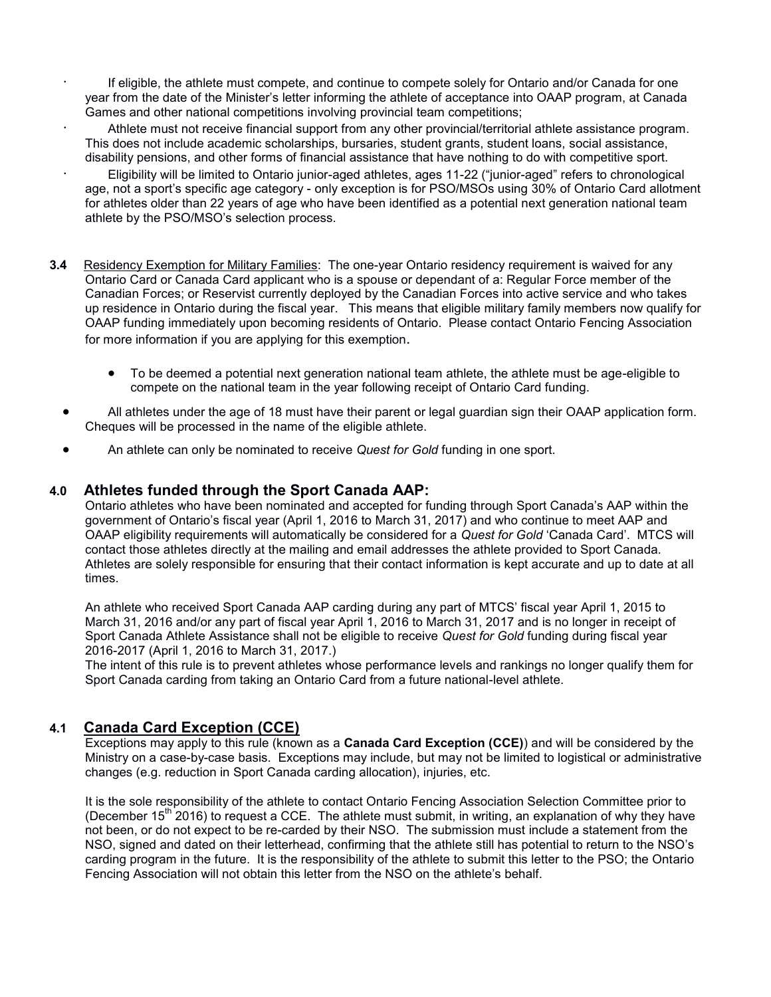- If eligible, the athlete must compete, and continue to compete solely for Ontario and/or Canada for one year from the date of the Minister's letter informing the athlete of acceptance into OAAP program, at Canada Games and other national competitions involving provincial team competitions;
- · Athlete must not receive financial support from any other provincial/territorial athlete assistance program. This does not include academic scholarships, bursaries, student grants, student loans, social assistance, disability pensions, and other forms of financial assistance that have nothing to do with competitive sport.
- · Eligibility will be limited to Ontario junior-aged athletes, ages 11-22 ("junior-aged" refers to chronological age, not a sport's specific age category - only exception is for PSO/MSOs using 30% of Ontario Card allotment for athletes older than 22 years of age who have been identified as a potential next generation national team athlete by the PSO/MSO's selection process.
- **3.4** Residency Exemption for Military Families: The one-year Ontario residency requirement is waived for any Ontario Card or Canada Card applicant who is a spouse or dependant of a: Regular Force member of the Canadian Forces; or Reservist currently deployed by the Canadian Forces into active service and who takes up residence in Ontario during the fiscal year. This means that eligible military family members now qualify for OAAP funding immediately upon becoming residents of Ontario. Please contact Ontario Fencing Association for more information if you are applying for this exemption.
	- To be deemed a potential next generation national team athlete, the athlete must be age-eligible to compete on the national team in the year following receipt of Ontario Card funding.
	- All athletes under the age of 18 must have their parent or legal guardian sign their OAAP application form. Cheques will be processed in the name of the eligible athlete.
	- An athlete can only be nominated to receive *Quest for Gold* funding in one sport.

## **4.0 Athletes funded through the Sport Canada AAP:**

Ontario athletes who have been nominated and accepted for funding through Sport Canada's AAP within the government of Ontario's fiscal year (April 1, 2016 to March 31, 2017) and who continue to meet AAP and OAAP eligibility requirements will automatically be considered for a *Quest for Gold* 'Canada Card'. MTCS will contact those athletes directly at the mailing and email addresses the athlete provided to Sport Canada. Athletes are solely responsible for ensuring that their contact information is kept accurate and up to date at all times.

An athlete who received Sport Canada AAP carding during any part of MTCS' fiscal year April 1, 2015 to March 31, 2016 and/or any part of fiscal year April 1, 2016 to March 31, 2017 and is no longer in receipt of Sport Canada Athlete Assistance shall not be eligible to receive *Quest for Gold* funding during fiscal year 2016-2017 (April 1, 2016 to March 31, 2017.)

The intent of this rule is to prevent athletes whose performance levels and rankings no longer qualify them for Sport Canada carding from taking an Ontario Card from a future national-level athlete.

## **4.1 Canada Card Exception (CCE)**

Exceptions may apply to this rule (known as a **Canada Card Exception (CCE)**) and will be considered by the Ministry on a case-by-case basis. Exceptions may include, but may not be limited to logistical or administrative changes (e.g. reduction in Sport Canada carding allocation), injuries, etc.

It is the sole responsibility of the athlete to contact Ontario Fencing Association Selection Committee prior to (December 15<sup>th</sup> 2016) to request a CCE. The athlete must submit, in writing, an explanation of why they have not been, or do not expect to be re-carded by their NSO. The submission must include a statement from the NSO, signed and dated on their letterhead, confirming that the athlete still has potential to return to the NSO's carding program in the future. It is the responsibility of the athlete to submit this letter to the PSO; the Ontario Fencing Association will not obtain this letter from the NSO on the athlete's behalf.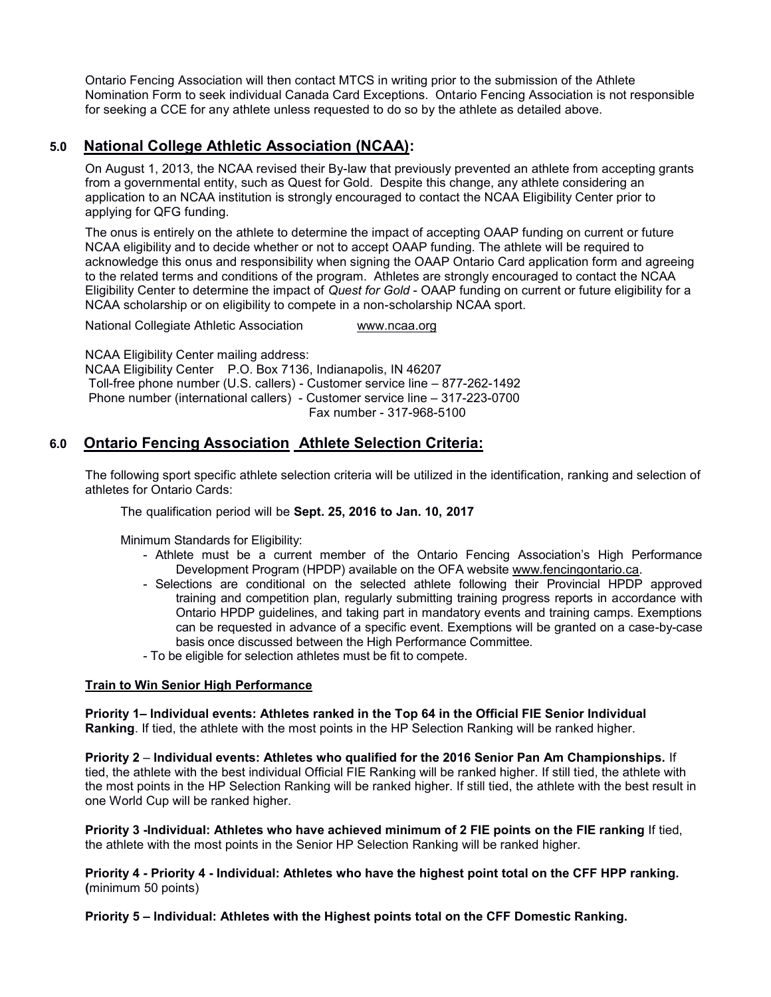Ontario Fencing Association will then contact MTCS in writing prior to the submission of the Athlete Nomination Form to seek individual Canada Card Exceptions. Ontario Fencing Association is not responsible for seeking a CCE for any athlete unless requested to do so by the athlete as detailed above.

# **5.0 National College Athletic Association (NCAA):**

On August 1, 2013, the NCAA revised their By-law that previously prevented an athlete from accepting grants from a governmental entity, such as Quest for Gold. Despite this change, any athlete considering an application to an NCAA institution is strongly encouraged to contact the NCAA Eligibility Center prior to applying for QFG funding.

The onus is entirely on the athlete to determine the impact of accepting OAAP funding on current or future NCAA eligibility and to decide whether or not to accept OAAP funding. The athlete will be required to acknowledge this onus and responsibility when signing the OAAP Ontario Card application form and agreeing to the related terms and conditions of the program. Athletes are strongly encouraged to contact the NCAA Eligibility Center to determine the impact of *Quest for Gold* - OAAP funding on current or future eligibility for a NCAA scholarship or on eligibility to compete in a non-scholarship NCAA sport.

National Collegiate Athletic Association [www.ncaa.org](http://www.ncaa.org/)

NCAA Eligibility Center mailing address: NCAA Eligibility Center P.O. Box 7136, Indianapolis, IN 46207 Toll-free phone number (U.S. callers) - Customer service line – 877-262-1492 Phone number (international callers) - Customer service line – 317-223-0700 Fax number - 317-968-5100

# **6.0 Ontario Fencing Association Athlete Selection Criteria:**

The following sport specific athlete selection criteria will be utilized in the identification, ranking and selection of athletes for Ontario Cards:

The qualification period will be **Sept. 25, 2016 to Jan. 10, 2017**

Minimum Standards for Eligibility:

- Athlete must be a current member of the Ontario Fencing Association's High Performance Development Program (HPDP) available on the OFA website [www.fencingontario.ca.](http://www.fencingontario.ca/)
- Selections are conditional on the selected athlete following their Provincial HPDP approved training and competition plan, regularly submitting training progress reports in accordance with Ontario HPDP guidelines, and taking part in mandatory events and training camps. Exemptions can be requested in advance of a specific event. Exemptions will be granted on a case-by-case basis once discussed between the High Performance Committee.
- To be eligible for selection athletes must be fit to compete.

#### **Train to Win Senior High Performance**

**Priority 1– Individual events: Athletes ranked in the Top 64 in the Official FIE Senior Individual Ranking**. If tied, the athlete with the most points in the HP Selection Ranking will be ranked higher.

**Priority 2** – **Individual events: Athletes who qualified for the 2016 Senior Pan Am Championships.** If tied, the athlete with the best individual Official FIE Ranking will be ranked higher. If still tied, the athlete with the most points in the HP Selection Ranking will be ranked higher. If still tied, the athlete with the best result in one World Cup will be ranked higher.

**Priority 3 -Individual: Athletes who have achieved minimum of 2 FIE points on the FIE ranking** If tied, the athlete with the most points in the Senior HP Selection Ranking will be ranked higher.

**Priority 4 - Priority 4 - Individual: Athletes who have the highest point total on the CFF HPP ranking. (**minimum 50 points)

**Priority 5 – Individual: Athletes with the Highest points total on the CFF Domestic Ranking.**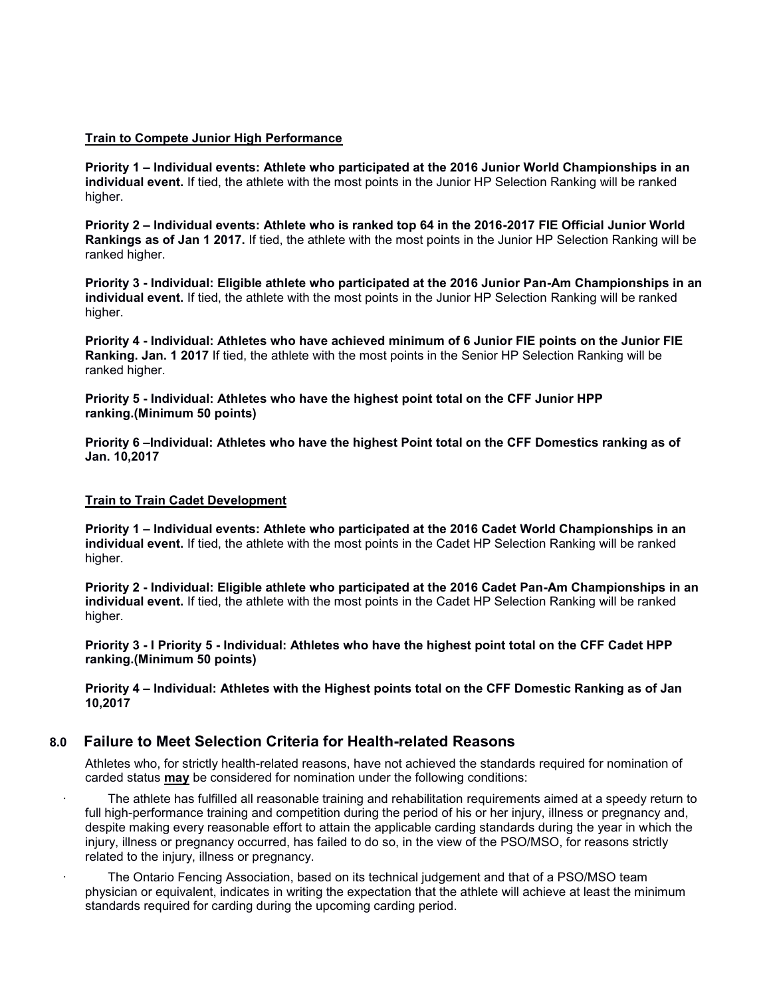#### **Train to Compete Junior High Performance**

**Priority 1 – Individual events: Athlete who participated at the 2016 Junior World Championships in an individual event.** If tied, the athlete with the most points in the Junior HP Selection Ranking will be ranked higher.

**Priority 2 – Individual events: Athlete who is ranked top 64 in the 2016-2017 FIE Official Junior World Rankings as of Jan 1 2017.** If tied, the athlete with the most points in the Junior HP Selection Ranking will be ranked higher.

**Priority 3 - Individual: Eligible athlete who participated at the 2016 Junior Pan-Am Championships in an individual event.** If tied, the athlete with the most points in the Junior HP Selection Ranking will be ranked higher.

**Priority 4 - Individual: Athletes who have achieved minimum of 6 Junior FIE points on the Junior FIE Ranking. Jan. 1 2017** If tied, the athlete with the most points in the Senior HP Selection Ranking will be ranked higher.

**Priority 5 - Individual: Athletes who have the highest point total on the CFF Junior HPP ranking.(Minimum 50 points)**

**Priority 6 –Individual: Athletes who have the highest Point total on the CFF Domestics ranking as of Jan. 10,2017**

#### **Train to Train Cadet Development**

**Priority 1 – Individual events: Athlete who participated at the 2016 Cadet World Championships in an individual event.** If tied, the athlete with the most points in the Cadet HP Selection Ranking will be ranked higher.

**Priority 2 - Individual: Eligible athlete who participated at the 2016 Cadet Pan-Am Championships in an individual event.** If tied, the athlete with the most points in the Cadet HP Selection Ranking will be ranked higher.

**Priority 3 - I Priority 5 - Individual: Athletes who have the highest point total on the CFF Cadet HPP ranking.(Minimum 50 points)**

**Priority 4 – Individual: Athletes with the Highest points total on the CFF Domestic Ranking as of Jan 10,2017**

## **8.0 Failure to Meet Selection Criteria for Health-related Reasons**

Athletes who, for strictly health-related reasons, have not achieved the standards required for nomination of carded status **may** be considered for nomination under the following conditions:

The athlete has fulfilled all reasonable training and rehabilitation requirements aimed at a speedy return to full high-performance training and competition during the period of his or her injury, illness or pregnancy and, despite making every reasonable effort to attain the applicable carding standards during the year in which the injury, illness or pregnancy occurred, has failed to do so, in the view of the PSO/MSO, for reasons strictly related to the injury, illness or pregnancy.

The Ontario Fencing Association, based on its technical judgement and that of a PSO/MSO team physician or equivalent, indicates in writing the expectation that the athlete will achieve at least the minimum standards required for carding during the upcoming carding period.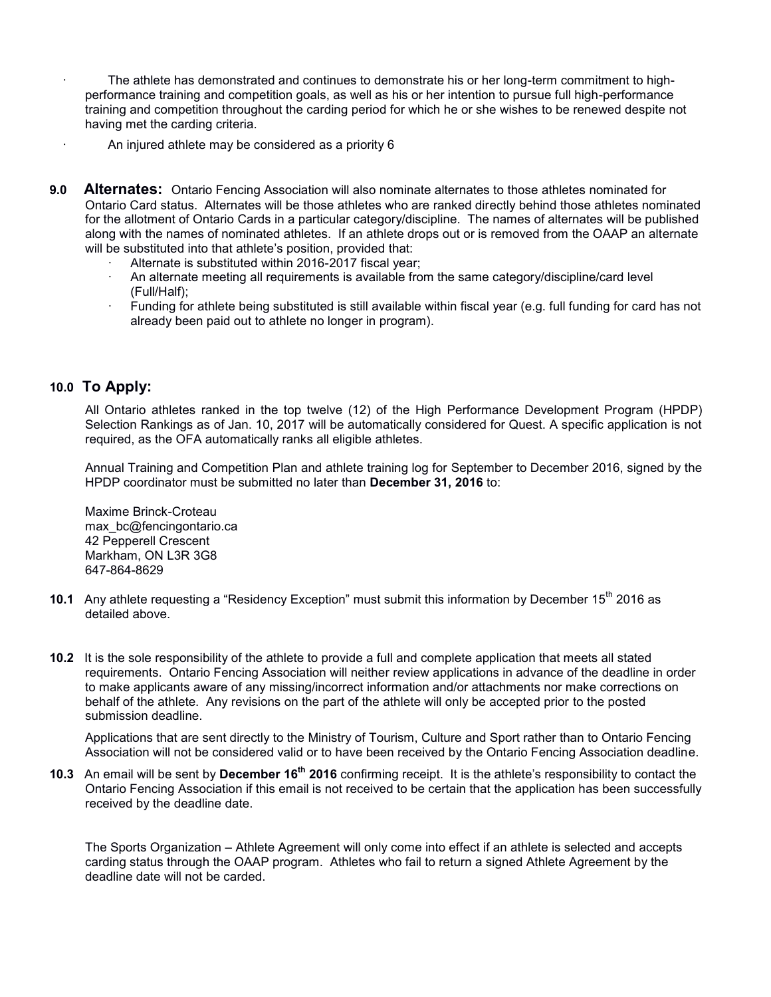- The athlete has demonstrated and continues to demonstrate his or her long-term commitment to highperformance training and competition goals, as well as his or her intention to pursue full high-performance training and competition throughout the carding period for which he or she wishes to be renewed despite not having met the carding criteria.
- An injured athlete may be considered as a priority 6
- **9.0 Alternates:** Ontario Fencing Association will also nominate alternates to those athletes nominated for Ontario Card status. Alternates will be those athletes who are ranked directly behind those athletes nominated for the allotment of Ontario Cards in a particular category/discipline. The names of alternates will be published along with the names of nominated athletes. If an athlete drops out or is removed from the OAAP an alternate will be substituted into that athlete's position, provided that:
	- Alternate is substituted within 2016-2017 fiscal year;
	- · An alternate meeting all requirements is available from the same category/discipline/card level (Full/Half);
	- Funding for athlete being substituted is still available within fiscal year (e.g. full funding for card has not already been paid out to athlete no longer in program).

### **10.0 To Apply:**

All Ontario athletes ranked in the top twelve (12) of the High Performance Development Program (HPDP) Selection Rankings as of Jan. 10, 2017 will be automatically considered for Quest. A specific application is not required, as the OFA automatically ranks all eligible athletes.

Annual Training and Competition Plan and athlete training log for September to December 2016, signed by the HPDP coordinator must be submitted no later than **December 31, 2016** to:

Maxime Brinck-Croteau max\_bc@fencingontario.ca 42 Pepperell Crescent Markham, ON L3R 3G8 647-864-8629

- **10.1** Any athlete requesting a "Residency Exception" must submit this information by December 15<sup>th</sup> 2016 as detailed above.
- **10.2** It is the sole responsibility of the athlete to provide a full and complete application that meets all stated requirements. Ontario Fencing Association will neither review applications in advance of the deadline in order to make applicants aware of any missing/incorrect information and/or attachments nor make corrections on behalf of the athlete. Any revisions on the part of the athlete will only be accepted prior to the posted submission deadline.

Applications that are sent directly to the Ministry of Tourism, Culture and Sport rather than to Ontario Fencing Association will not be considered valid or to have been received by the Ontario Fencing Association deadline.

**10.3** An email will be sent by **December 16th 2016** confirming receipt. It is the athlete's responsibility to contact the Ontario Fencing Association if this email is not received to be certain that the application has been successfully received by the deadline date.

The Sports Organization – Athlete Agreement will only come into effect if an athlete is selected and accepts carding status through the OAAP program. Athletes who fail to return a signed Athlete Agreement by the deadline date will not be carded.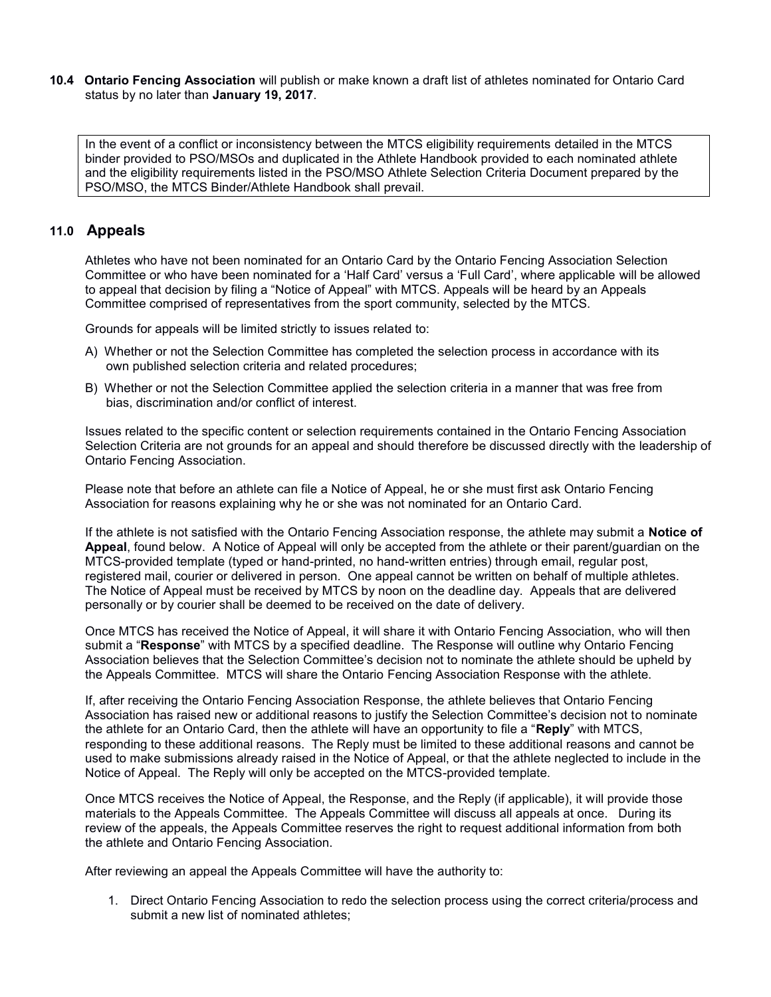**10.4 Ontario Fencing Association** will publish or make known a draft list of athletes nominated for Ontario Card status by no later than **January 19, 2017**.

In the event of a conflict or inconsistency between the MTCS eligibility requirements detailed in the MTCS binder provided to PSO/MSOs and duplicated in the Athlete Handbook provided to each nominated athlete and the eligibility requirements listed in the PSO/MSO Athlete Selection Criteria Document prepared by the PSO/MSO, the MTCS Binder/Athlete Handbook shall prevail.

### **11.0 Appeals**

Athletes who have not been nominated for an Ontario Card by the Ontario Fencing Association Selection Committee or who have been nominated for a 'Half Card' versus a 'Full Card', where applicable will be allowed to appeal that decision by filing a "Notice of Appeal" with MTCS. Appeals will be heard by an Appeals Committee comprised of representatives from the sport community, selected by the MTCS.

Grounds for appeals will be limited strictly to issues related to:

- A) Whether or not the Selection Committee has completed the selection process in accordance with its own published selection criteria and related procedures;
- B) Whether or not the Selection Committee applied the selection criteria in a manner that was free from bias, discrimination and/or conflict of interest.

Issues related to the specific content or selection requirements contained in the Ontario Fencing Association Selection Criteria are not grounds for an appeal and should therefore be discussed directly with the leadership of Ontario Fencing Association.

Please note that before an athlete can file a Notice of Appeal, he or she must first ask Ontario Fencing Association for reasons explaining why he or she was not nominated for an Ontario Card.

If the athlete is not satisfied with the Ontario Fencing Association response, the athlete may submit a **Notice of Appeal**, found below. A Notice of Appeal will only be accepted from the athlete or their parent/guardian on the MTCS-provided template (typed or hand-printed, no hand-written entries) through email, regular post, registered mail, courier or delivered in person. One appeal cannot be written on behalf of multiple athletes. The Notice of Appeal must be received by MTCS by noon on the deadline day. Appeals that are delivered personally or by courier shall be deemed to be received on the date of delivery.

Once MTCS has received the Notice of Appeal, it will share it with Ontario Fencing Association, who will then submit a "**Response**" with MTCS by a specified deadline. The Response will outline why Ontario Fencing Association believes that the Selection Committee's decision not to nominate the athlete should be upheld by the Appeals Committee. MTCS will share the Ontario Fencing Association Response with the athlete.

If, after receiving the Ontario Fencing Association Response, the athlete believes that Ontario Fencing Association has raised new or additional reasons to justify the Selection Committee's decision not to nominate the athlete for an Ontario Card, then the athlete will have an opportunity to file a "**Reply**" with MTCS, responding to these additional reasons. The Reply must be limited to these additional reasons and cannot be used to make submissions already raised in the Notice of Appeal, or that the athlete neglected to include in the Notice of Appeal. The Reply will only be accepted on the MTCS-provided template.

Once MTCS receives the Notice of Appeal, the Response, and the Reply (if applicable), it will provide those materials to the Appeals Committee. The Appeals Committee will discuss all appeals at once. During its review of the appeals, the Appeals Committee reserves the right to request additional information from both the athlete and Ontario Fencing Association.

After reviewing an appeal the Appeals Committee will have the authority to:

1. Direct Ontario Fencing Association to redo the selection process using the correct criteria/process and submit a new list of nominated athletes;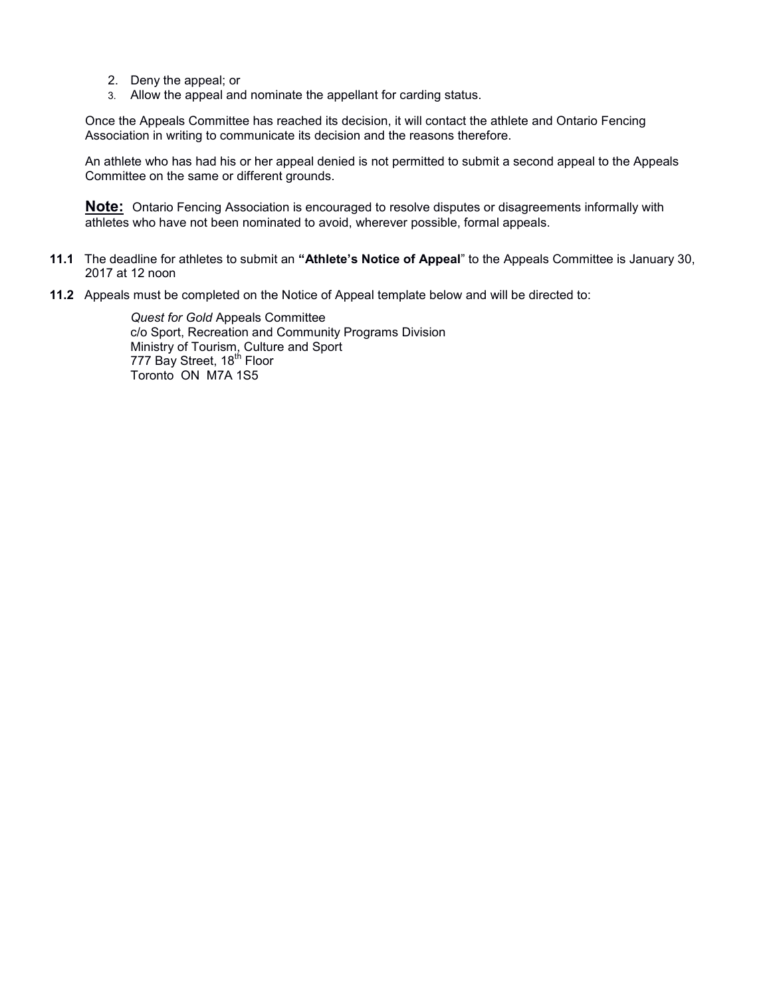- 2. Deny the appeal; or
- 3. Allow the appeal and nominate the appellant for carding status.

Once the Appeals Committee has reached its decision, it will contact the athlete and Ontario Fencing Association in writing to communicate its decision and the reasons therefore.

An athlete who has had his or her appeal denied is not permitted to submit a second appeal to the Appeals Committee on the same or different grounds.

**Note:** Ontario Fencing Association is encouraged to resolve disputes or disagreements informally with athletes who have not been nominated to avoid, wherever possible, formal appeals.

- **11.1** The deadline for athletes to submit an **"Athlete's Notice of Appeal**" to the Appeals Committee is January 30, 2017 at 12 noon
- **11.2** Appeals must be completed on the Notice of Appeal template below and will be directed to:

*Quest for Gold* Appeals Committee c/o Sport, Recreation and Community Programs Division Ministry of Tourism, Culture and Sport 777 Bay Street, 18<sup>th</sup> Floor Toronto ON M7A 1S5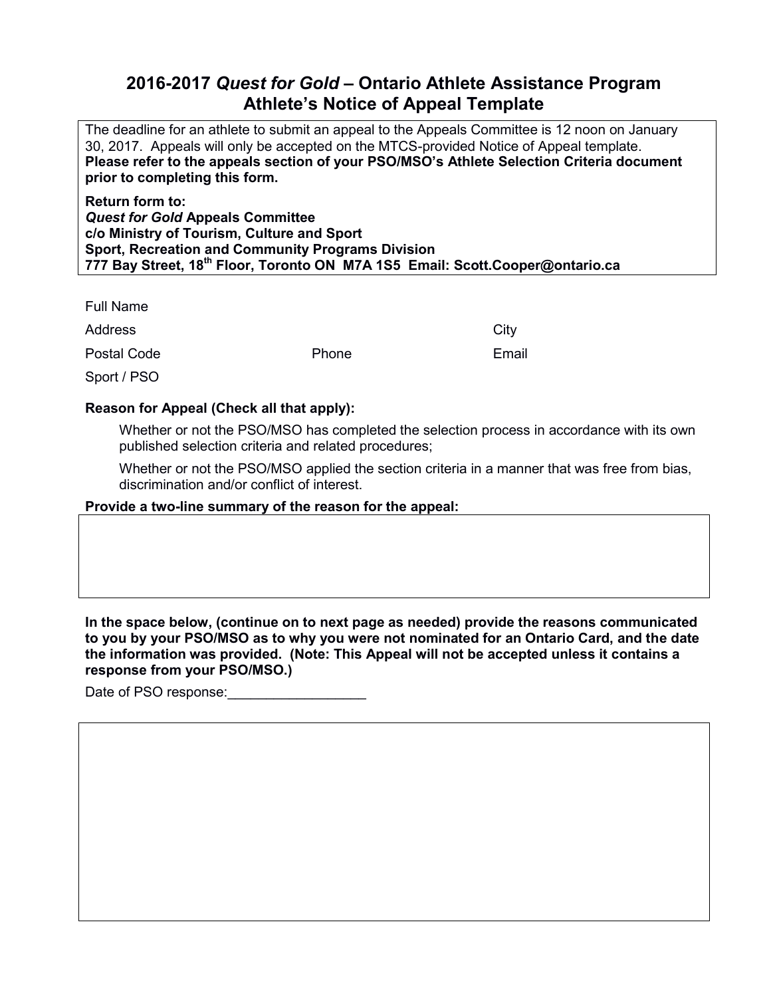# **2016-2017** *Quest for Gold* **– Ontario Athlete Assistance Program Athlete's Notice of Appeal Template**

The deadline for an athlete to submit an appeal to the Appeals Committee is 12 noon on January 30, 2017. Appeals will only be accepted on the MTCS-provided Notice of Appeal template. **Please refer to the appeals section of your PSO/MSO's Athlete Selection Criteria document prior to completing this form.**

**Return form to:** *Quest for Gold* **Appeals Committee c/o Ministry of Tourism, Culture and Sport Sport, Recreation and Community Programs Division 777 Bay Street, 18th Floor, Toronto ON M7A 1S5 Email: Scott.Cooper@ontario.ca**

Full Name

Address City

Postal Code **Phone** Phone **Email** 

Sport / PSO

# **Reason for Appeal (Check all that apply):**

Whether or not the PSO/MSO has completed the selection process in accordance with its own published selection criteria and related procedures;

Whether or not the PSO/MSO applied the section criteria in a manner that was free from bias, discrimination and/or conflict of interest.

## **Provide a two-line summary of the reason for the appeal:**

**In the space below, (continue on to next page as needed) provide the reasons communicated to you by your PSO/MSO as to why you were not nominated for an Ontario Card, and the date the information was provided. (Note: This Appeal will not be accepted unless it contains a response from your PSO/MSO.)**

Date of PSO response: